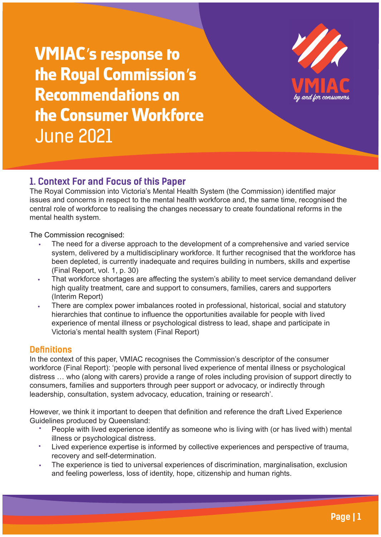**VMIAC**'**s response to the Royal Commission**'**s Recommendations on the Consumer Workforce** June 2021



# **1. Context For and Focus of this Paper**

The Royal Commission into Victoria's Mental Health System (the Commission) identified major issues and concerns in respect to the mental health workforce and, the same time, recognised the central role of workforce to realising the changes necessary to create foundational reforms in the mental health system.

The Commission recognised:

- The need for a diverse approach to the development of a comprehensive and varied service system, delivered by a multidisciplinary workforce. It further recognised that the workforce has been depleted, is currently inadequate and requires building in numbers, skills and expertise (Final Report, vol. 1, p. 30)
- That workforce shortages are affecting the system's ability to meet service demandand deliver high quality treatment, care and support to consumers, families, carers and supporters (Interim Report)
- There are complex power imbalances rooted in professional, historical, social and statutory hierarchies that continue to influence the opportunities available for people with lived experience of mental illness or psychological distress to lead, shape and participate in Victoria's mental health system (Final Report)

# **Definitions**

In the context of this paper, VMIAC recognises the Commission's descriptor of the consumer workforce (Final Report): 'people with personal lived experience of mental illness or psychological distress … who (along with carers) provide a range of roles including provision of support directly to consumers, families and supporters through peer support or advocacy, or indirectly through leadership, consultation, system advocacy, education, training or research'.

However, we think it important to deepen that definition and reference the draft Lived Experience Guidelines produced by Queensland:

- People with lived experience identify as someone who is living with (or has lived with) mental illness or psychological distress.
- Lived experience expertise is informed by collective experiences and perspective of trauma, recovery and self-determination.
- The experience is tied to universal experiences of discrimination, marginalisation, exclusion and feeling powerless, loss of identity, hope, citizenship and human rights.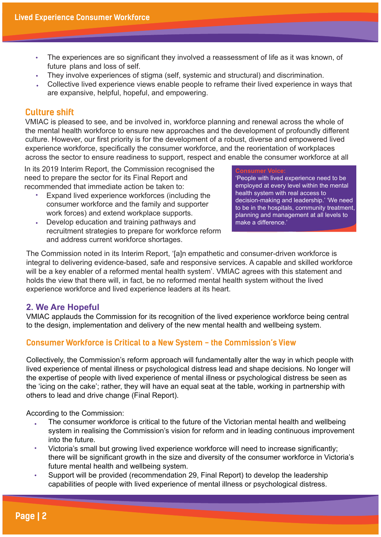- The experiences are so significant they involved a reassessment of life as it was known, of future plans and loss of self.
- They involve experiences of stigma (self, systemic and structural) and discrimination.
- Collective lived experience views enable people to reframe their lived experience in ways that are expansive, helpful, hopeful, and empowering.

### **Culture shift**

VMIAC is pleased to see, and be involved in, workforce planning and renewal across the whole of the mental health workforce to ensure new approaches and the development of profoundly different culture. However, our first priority is for the development of a robust, diverse and empowered lived experience workforce, specifically the consumer workforce, and the reorientation of workplaces across the sector to ensure readiness to support, respect and enable the consumer workforce at all

In its 2019 Interim Report, the Commission recognised the need to prepare the sector for its Final Report and recommended that immediate action be taken to:

- Expand lived experience workforces (including the consumer workforce and the family and supporter work forces) and extend workplace supports.
- Develop education and training pathways and recruitment strategies to prepare for workforce reform and address current workforce shortages.

#### **Consumer Voice:**

'People with lived experience need to be employed at every level within the mental health system with real access to decision-making and leadership.' 'We need to be in the hospitals, community treatment, planning and management at all levels to make a difference.'

The Commission noted in its Interim Report, '[a]n empathetic and consumer-driven workforce is integral to delivering evidence-based, safe and responsive services. A capable and skilled workforce will be a key enabler of a reformed mental health system'. VMIAC agrees with this statement and holds the view that there will, in fact, be no reformed mental health system without the lived experience workforce and lived experience leaders at its heart.

## **2. We Are Hopeful**

VMIAC applauds the Commission for its recognition of the lived experience workforce being central to the design, implementation and delivery of the new mental health and wellbeing system.

# **Consumer Workforce is Critical to a New System - the Commission's View**

Collectively, the Commission's reform approach will fundamentally alter the way in which people with lived experience of mental illness or psychological distress lead and shape decisions. No longer will the expertise of people with lived experience of mental illness or psychological distress be seen as the 'icing on the cake'; rather, they will have an equal seat at the table, working in partnership with others to lead and drive change (Final Report).

According to the Commission:

- The consumer workforce is critical to the future of the Victorian mental health and wellbeing system in realising the Commission's vision for reform and in leading continuous improvement into the future.
- Victoria's small but growing lived experience workforce will need to increase significantly; there will be significant growth in the size and diversity of the consumer workforce in Victoria's future mental health and wellbeing system.
- Support will be provided (recommendation 29, Final Report) to develop the leadership capabilities of people with lived experience of mental illness or psychological distress.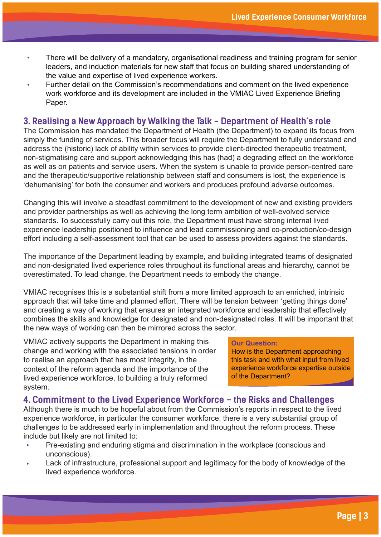- There will be delivery of a mandatory, organisational readiness and training program for senior leaders, and induction materials for new staff that focus on building shared understanding of the value and expertise of lived experience workers.
- Further detail on the Commission's recommendations and comment on the lived experience work workforce and its development are included in the VMIAC Lived Experience Briefing Paper.

## **3. Realising a New Approach by Walking the Talk - Department of Health's role**

The Commission has mandated the Department of Health (the Department) to expand its focus from simply the funding of services. This broader focus will require the Department to fully understand and address the (historic) lack of ability within services to provide client-directed therapeutic treatment, non-stigmatising care and support acknowledging this has (had) a degrading effect on the workforce as well as on patients and service users. When the system is unable to provide person-centred care and the therapeutic/supportive relationship between staff and consumers is lost, the experience is 'dehumanising' for both the consumer and workers and produces profound adverse outcomes.

Changing this will involve a steadfast commitment to the development of new and existing providers and provider partnerships as well as achieving the long term ambition of well-evolved service standards. To successfully carry out this role, the Department must have strong internal lived experience leadership positioned to influence and lead commissioning and co-production/co-design effort including a self-assessment tool that can be used to assess providers against the standards.

The importance of the Department leading by example, and building integrated teams of designated and non-designated lived experience roles throughout its functional areas and hierarchy, cannot be overestimated. To lead change, the Department needs to embody the change.

VMIAC recognises this is a substantial shift from a more limited approach to an enriched, intrinsic approach that will take time and planned effort. There will be tension between 'getting things done' and creating a way of working that ensures an integrated workforce and leadership that effectively combines the skills and knowledge for designated and non-designated roles. It will be important that the new ways of working can then be mirrored across the sector.

VMIAC actively supports the Department in making this change and working with the associated tensions in order to realise an approach that has most integrity, in the context of the reform agenda and the importance of the lived experience workforce, to building a truly reformed system.

#### **Our Question:**

How is the Department approaching this task and with what input from lived experience workforce expertise outside of the Department?

# **4. Commitment to the Lived Experience Workforce – the Risks and Challenges**

Although there is much to be hopeful about from the Commission's reports in respect to the lived experience workforce, in particular the consumer workforce, there is a very substantial group of challenges to be addressed early in implementation and throughout the reform process. These include but likely are not limited to:

- Pre-existing and enduring stigma and discrimination in the workplace (conscious and unconscious).
- Lack of infrastructure, professional support and legitimacy for the body of knowledge of the lived experience workforce.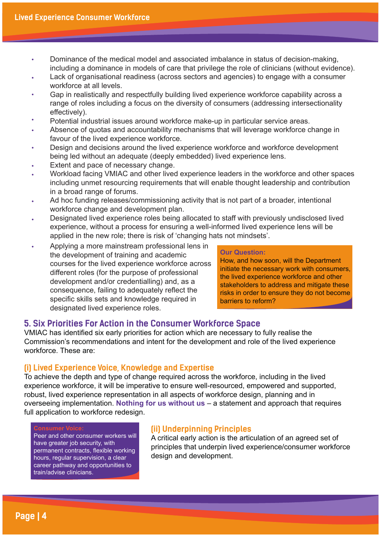- Dominance of the medical model and associated imbalance in status of decision-making, including a dominance in models of care that privilege the role of clinicians (without evidence).
- Lack of organisational readiness (across sectors and agencies) to engage with a consumer workforce at all levels.
- Gap in realistically and respectfully building lived experience workforce capability across a range of roles including a focus on the diversity of consumers (addressing intersectionality effectively).
- Potential industrial issues around workforce make-up in particular service areas.
- Absence of quotas and accountability mechanisms that will leverage workforce change in favour of the lived experience workforce.
- Design and decisions around the lived experience workforce and workforce development being led without an adequate (deeply embedded) lived experience lens.
- Extent and pace of necessary change.
- Workload facing VMIAC and other lived experience leaders in the workforce and other spaces including unmet resourcing requirements that will enable thought leadership and contribution in a broad range of forums.
- Ad hoc funding releases/commissioning activity that is not part of a broader, intentional workforce change and development plan.
- Designated lived experience roles being allocated to staff with previously undisclosed lived experience, without a process for ensuring a well-informed lived experience lens will be applied in the new role; there is risk of 'changing hats not mindsets'.
- Applying a more mainstream professional lens in the development of training and academic courses for the lived experience workforce across different roles (for the purpose of professional development and/or credentialling) and, as a consequence, failing to adequately reflect the specific skills sets and knowledge required in designated lived experience roles.

#### **Our Question:**

How, and how soon, will the Department initiate the necessary work with consumers, the lived experience workforce and other stakeholders to address and mitigate these risks in order to ensure they do not become barriers to reform?

### **5. Six Priorities For Action in the Consumer Workforce Space**

VMIAC has identified six early priorities for action which are necessary to fully realise the Commission's recommendations and intent for the development and role of the lived experience workforce. These are:

### **(i) Lived Experience Voice, Knowledge and Expertise**

To achieve the depth and type of change required across the workforce, including in the lived experience workforce, it will be imperative to ensure well-resourced, empowered and supported, robust, lived experience representation in all aspects of workforce design, planning and in overseeing implementation. **Nothing for us without us** – a statement and approach that requires full application to workforce redesign.

#### **Consumer Voice:**

Peer and other consumer workers will have greater job security, with permanent contracts, flexible working hours, regular supervision, a clear career pathway and opportunities to train/advise clinicians.

### **(ii) Underpinning Principles**

A critical early action is the articulation of an agreed set of principles that underpin lived experience/consumer workforce design and development.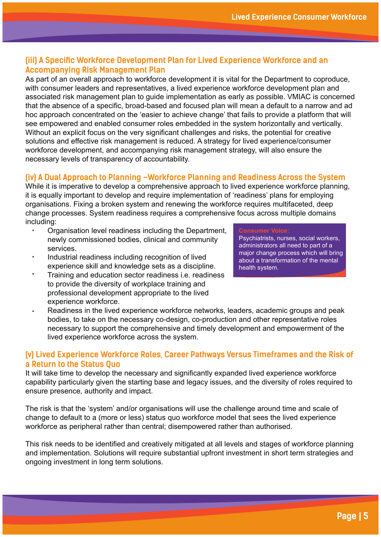# **(iii) A Specific Workforce Development Plan for Lived Experience Workforce and an Accompanying Risk Management Plan**

As part of an overall approach to workforce development it is vital for the Department to coproduce, with consumer leaders and representatives, a lived experience workforce development plan and associated risk management plan to guide implementation as early as possible. VMIAC is concerned that the absence of a specific, broad-based and focused plan will mean a default to a narrow and ad hoc approach concentrated on the 'easier to achieve change' that fails to provide a platform that will see empowered and enabled consumer roles embedded in the system horizontally and vertically. Without an explicit focus on the very significant challenges and risks, the potential for creative solutions and effective risk management is reduced. A strategy for lived experience/consumer workforce development, and accompanying risk management strategy, will also ensure the necessary levels of transparency of accountability.

## **(iv) A Dual Approach to Planning –Workforce Planning and Readiness Across the System**

While it is imperative to develop a comprehensive approach to lived experience workforce planning, it is equally important to develop and require implementation of 'readiness' plans for employing organisations. Fixing a broken system and renewing the workforce requires multifaceted, deep change processes. System readiness requires a comprehensive focus across multiple domains including:

- Organisation level readiness including the Department, newly commissioned bodies, clinical and community services.
- Industrial readiness including recognition of lived experience skill and knowledge sets as a discipline.
- Training and education sector readiness i.e. readiness to provide the diversity of workplace training and professional development appropriate to the lived experience workforce.

#### **Consumer Voice:**

Psychiatrists, nurses, social workers, administrators all need to part of a major change process which will bring about a transformation of the mental health system.

 Readiness in the lived experience workforce networks, leaders, academic groups and peak bodies, to take on the necessary co-design, co-production and other representative roles necessary to support the comprehensive and timely development and empowerment of the lived experience workforce across the system.

## **(v) Lived Experience Workforce Roles, Career Pathways Versus Timeframes and the Risk of a Return to the Status Quo**

It will take time to develop the necessary and significantly expanded lived experience workforce capability particularly given the starting base and legacy issues, and the diversity of roles required to ensure presence, authority and impact.

The risk is that the 'system' and/or organisations will use the challenge around time and scale of change to default to a (more or less) status quo workforce model that sees the lived experience workforce as peripheral rather than central; disempowered rather than authorised.

This risk needs to be identified and creatively mitigated at all levels and stages of workforce planning and implementation. Solutions will require substantial upfront investment in short term strategies and ongoing investment in long term solutions.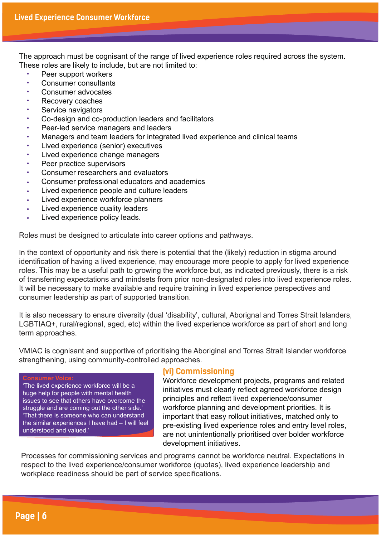The approach must be cognisant of the range of lived experience roles required across the system. These roles are likely to include, but are not limited to:

- Peer support workers
- Consumer consultants
- Consumer advocates
- Recovery coaches
- Service navigators
- Co-design and co-production leaders and facilitators
- Peer-led service managers and leaders
- Managers and team leaders for integrated lived experience and clinical teams
- Lived experience (senior) executives
- Lived experience change managers
- Peer practice supervisors
- Consumer researchers and evaluators
- Consumer professional educators and academics
- Lived experience people and culture leaders
- Lived experience workforce planners
- Lived experience quality leaders
- Lived experience policy leads.

Roles must be designed to articulate into career options and pathways.

In the context of opportunity and risk there is potential that the (likely) reduction in stigma around identification of having a lived experience, may encourage more people to apply for lived experience roles. This may be a useful path to growing the workforce but, as indicated previously, there is a risk of transferring expectations and mindsets from prior non-designated roles into lived experience roles. It will be necessary to make available and require training in lived experience perspectives and consumer leadership as part of supported transition.

It is also necessary to ensure diversity (dual 'disability', cultural, Aborignal and Torres Strait Islanders, LGBTIAQ+, rural/regional, aged, etc) within the lived experience workforce as part of short and long term approaches.

VMIAC is cognisant and supportive of prioritising the Aboriginal and Torres Strait Islander workforce strengthening, using community-controlled approaches.

#### **Consumer Voice:**

'The lived experience workforce will be a huge help for people with mental health issues to see that others have overcome the struggle and are coming out the other side.' 'That there is someone who can understand the similar experiences I have had – I will feel understood and valued.'

#### **(vi) Commissioning**

Workforce development projects, programs and related initiatives must clearly reflect agreed workforce design principles and reflect lived experience/consumer workforce planning and development priorities. It is important that easy rollout initiatives, matched only to pre-existing lived experience roles and entry level roles, are not unintentionally prioritised over bolder workforce development initiatives.

Processes for commissioning services and programs cannot be workforce neutral. Expectations in respect to the lived experience/consumer workforce (quotas), lived experience leadership and workplace readiness should be part of service specifications.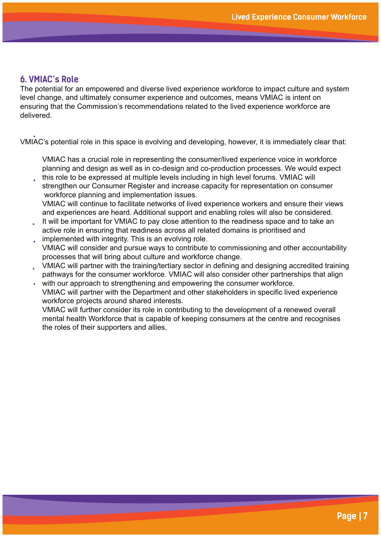## **6. VMIAC's Role**

The potential for an empowered and diverse lived experience workforce to impact culture and system level change, and ultimately consumer experience and outcomes, means VMIAC is intent on ensuring that the Commission's recommendations related to the lived experience workforce are delivered.

VMIAC's potential role in this space is evolving and developing, however, it is immediately clear that:

 VMIAC has a crucial role in representing the consumer/lived experience voice in workforce planning and design as well as in co-design and co-production processes. We would expect this role to be expressed at multiple levels including in high level forums. VMIAC will

- strengthen our Consumer Register and increase capacity for representation on consumer workforce planning and implementation issues. VMIAC will continue to facilitate networks of lived experience workers and ensure their views and experiences are heard. Additional support and enabling roles will also be considered.
- It will be important for VMIAC to pay close attention to the readiness space and to take an active role in ensuring that readiness across all related domains is prioritised and
- . implemented with integrity. This is an evolving role. VMIAC will consider and pursue ways to contribute to commissioning and other accountability processes that will bring about culture and workforce change.
- VMIAC will partner with the training/tertiary sector in defining and designing accredited training pathways for the consumer workforce. VMIAC will also consider other partnerships that align
- with our approach to strengthening and empowering the consumer workforce. VMIAC will partner with the Department and other stakeholders in specific lived experience workforce projects around shared interests.

 VMIAC will further consider its role in contributing to the development of a renewed overall mental health Workforce that is capable of keeping consumers at the centre and recognises the roles of their supporters and allies.